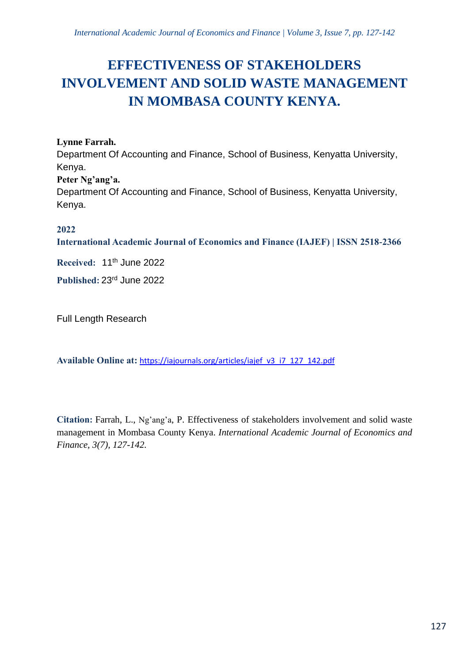# **EFFECTIVENESS OF STAKEHOLDERS INVOLVEMENT AND SOLID WASTE MANAGEMENT IN MOMBASA COUNTY KENYA.**

# **Lynne Farrah.**

Department Of Accounting and Finance, School of Business, Kenyatta University, Kenya.

**Peter Ng'ang'a.**

Department Of Accounting and Finance, School of Business, Kenyatta University, Kenya.

# **2022**

**International Academic Journal of Economics and Finance (IAJEF) | ISSN 2518-2366**

**Received:** 11th June 2022

**Published:** 23rd June 2022

Full Length Research

**Available Online at:** [https://iajournals.org/articles/iajef\\_v3\\_i7\\_127\\_142.pdf](https://iajournals.org/articles/iajef_v3_i7_127_142.pdf)

**Citation:** Farrah, L., Ng'ang'a, P. Effectiveness of stakeholders involvement and solid waste management in Mombasa County Kenya. *International Academic Journal of Economics and Finance, 3(7), 127-142.*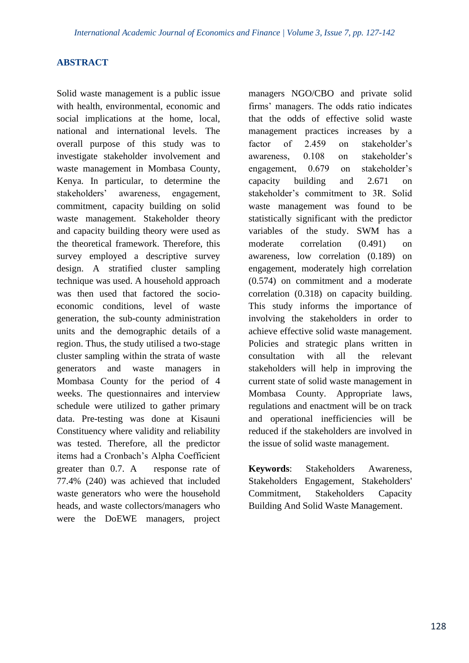## **ABSTRACT**

Solid waste management is a public issue with health, environmental, economic and social implications at the home, local, national and international levels. The overall purpose of this study was to investigate stakeholder involvement and waste management in Mombasa County, Kenya. In particular, to determine the stakeholders' awareness, engagement, commitment, capacity building on solid waste management. Stakeholder theory and capacity building theory were used as the theoretical framework. Therefore, this survey employed a descriptive survey design. A stratified cluster sampling technique was used. A household approach was then used that factored the socioeconomic conditions, level of waste generation, the sub-county administration units and the demographic details of a region. Thus, the study utilised a two-stage cluster sampling within the strata of waste generators and waste managers in Mombasa County for the period of 4 weeks. The questionnaires and interview schedule were utilized to gather primary data. Pre-testing was done at Kisauni Constituency where validity and reliability was tested. Therefore, all the predictor items had a Cronbach's Alpha Coefficient greater than 0.7. A response rate of 77.4% (240) was achieved that included waste generators who were the household heads, and waste collectors/managers who were the DoEWE managers, project managers NGO/CBO and private solid firms' managers. The odds ratio indicates that the odds of effective solid waste management practices increases by a factor of 2.459 on stakeholder's awareness, 0.108 on stakeholder's engagement, 0.679 on stakeholder's capacity building and 2.671 on stakeholder's commitment to 3R. Solid waste management was found to be statistically significant with the predictor variables of the study. SWM has a moderate correlation (0.491) on awareness, low correlation (0.189) on engagement, moderately high correlation (0.574) on commitment and a moderate correlation (0.318) on capacity building. This study informs the importance of involving the stakeholders in order to achieve effective solid waste management. Policies and strategic plans written in consultation with all the relevant stakeholders will help in improving the current state of solid waste management in Mombasa County. Appropriate laws, regulations and enactment will be on track and operational inefficiencies will be reduced if the stakeholders are involved in the issue of solid waste management.

**Keywords**: Stakeholders Awareness, Stakeholders Engagement, Stakeholders' Commitment, Stakeholders Capacity Building And Solid Waste Management.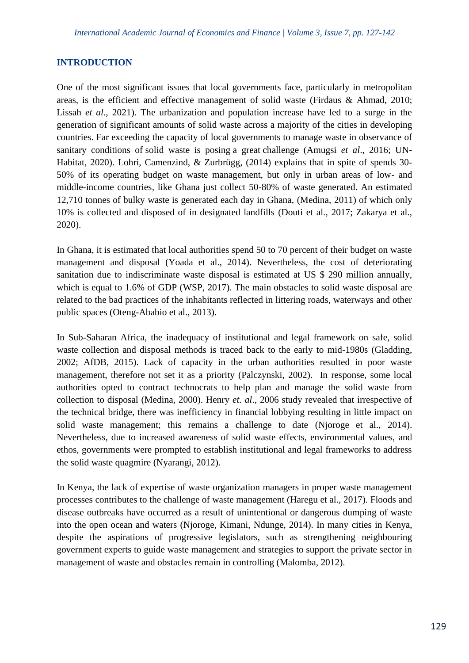#### **INTRODUCTION**

One of the most significant issues that local governments face, particularly in metropolitan areas, is the efficient and effective management of solid waste (Firdaus & Ahmad, 2010; Lissah *et al*., 2021). The urbanization and population increase have led to a surge in the generation of significant amounts of solid waste across a majority of the cities in developing countries. Far exceeding the capacity of local governments to manage waste in observance of sanitary conditions of solid waste is posing a great challenge (Amugsi *et al*., 2016; UN-Habitat, 2020). Lohri, Camenzind, & Zurbrügg, (2014) explains that in spite of spends 30- 50% of its operating budget on waste management, but only in urban areas of low- and middle-income countries, like Ghana just collect 50-80% of waste generated. An estimated 12,710 tonnes of bulky waste is generated each day in Ghana, (Medina, 2011) of which only 10% is collected and disposed of in designated landfills (Douti et al., 2017; Zakarya et al., 2020).

In Ghana, it is estimated that local authorities spend 50 to 70 percent of their budget on waste management and disposal (Yoada et al., 2014). Nevertheless, the cost of deteriorating sanitation due to indiscriminate waste disposal is estimated at US \$ 290 million annually, which is equal to 1.6% of GDP (WSP, 2017). The main obstacles to solid waste disposal are related to the bad practices of the inhabitants reflected in littering roads, waterways and other public spaces (Oteng-Ababio et al., 2013).

In Sub-Saharan Africa, the inadequacy of institutional and legal framework on safe, solid waste collection and disposal methods is traced back to the early to mid-1980s (Gladding, 2002; AfDB, 2015). Lack of capacity in the urban authorities resulted in poor waste management, therefore not set it as a priority (Palczynski, 2002). In response, some local authorities opted to contract technocrats to help plan and manage the solid waste from collection to disposal (Medina, 2000). Henry *et. al*., 2006 study revealed that irrespective of the technical bridge, there was inefficiency in financial lobbying resulting in little impact on solid waste management; this remains a challenge to date (Njoroge et al., 2014). Nevertheless, due to increased awareness of solid waste effects, environmental values, and ethos, governments were prompted to establish institutional and legal frameworks to address the solid waste quagmire (Nyarangi, 2012).

In Kenya, the lack of expertise of waste organization managers in proper waste management processes contributes to the challenge of waste management (Haregu et al., 2017). Floods and disease outbreaks have occurred as a result of unintentional or dangerous dumping of waste into the open ocean and waters (Njoroge, Kimani, Ndunge, 2014). In many cities in Kenya, despite the aspirations of progressive legislators, such as strengthening neighbouring government experts to guide waste management and strategies to support the private sector in management of waste and obstacles remain in controlling (Malomba, 2012).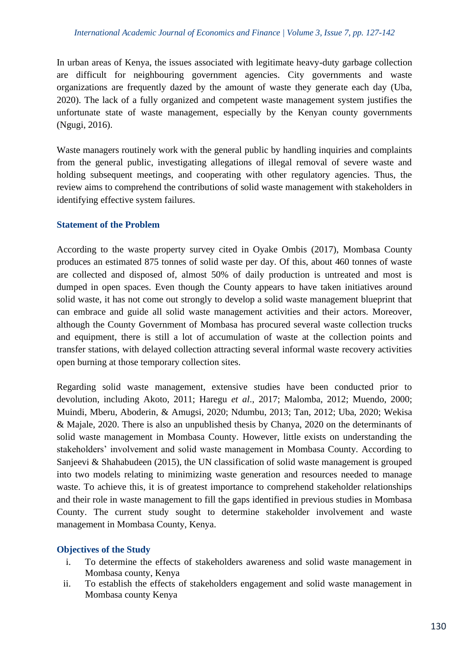In urban areas of Kenya, the issues associated with legitimate heavy-duty garbage collection are difficult for neighbouring government agencies. City governments and waste organizations are frequently dazed by the amount of waste they generate each day (Uba, 2020). The lack of a fully organized and competent waste management system justifies the unfortunate state of waste management, especially by the Kenyan county governments (Ngugi, 2016).

Waste managers routinely work with the general public by handling inquiries and complaints from the general public, investigating allegations of illegal removal of severe waste and holding subsequent meetings, and cooperating with other regulatory agencies. Thus, the review aims to comprehend the contributions of solid waste management with stakeholders in identifying effective system failures.

# **Statement of the Problem**

According to the waste property survey cited in Oyake Ombis (2017), Mombasa County produces an estimated 875 tonnes of solid waste per day. Of this, about 460 tonnes of waste are collected and disposed of, almost 50% of daily production is untreated and most is dumped in open spaces. Even though the County appears to have taken initiatives around solid waste, it has not come out strongly to develop a solid waste management blueprint that can embrace and guide all solid waste management activities and their actors. Moreover, although the County Government of Mombasa has procured several waste collection trucks and equipment, there is still a lot of accumulation of waste at the collection points and transfer stations, with delayed collection attracting several informal waste recovery activities open burning at those temporary collection sites.

Regarding solid waste management, extensive studies have been conducted prior to devolution, including Akoto, 2011; Haregu *et al*., 2017; Malomba, 2012; Muendo, 2000; Muindi, Mberu, Aboderin, & Amugsi, 2020; Ndumbu, 2013; Tan, 2012; Uba, 2020; Wekisa & Majale, 2020. There is also an unpublished thesis by Chanya, 2020 on the determinants of solid waste management in Mombasa County. However, little exists on understanding the stakeholders' involvement and solid waste management in Mombasa County. According to Sanjeevi & Shahabudeen (2015), the UN classification of solid waste management is grouped into two models relating to minimizing waste generation and resources needed to manage waste. To achieve this, it is of greatest importance to comprehend stakeholder relationships and their role in waste management to fill the gaps identified in previous studies in Mombasa County. The current study sought to determine stakeholder involvement and waste management in Mombasa County, Kenya.

# **Objectives of the Study**

- i. To determine the effects of stakeholders awareness and solid waste management in Mombasa county, Kenya
- ii. To establish the effects of stakeholders engagement and solid waste management in Mombasa county Kenya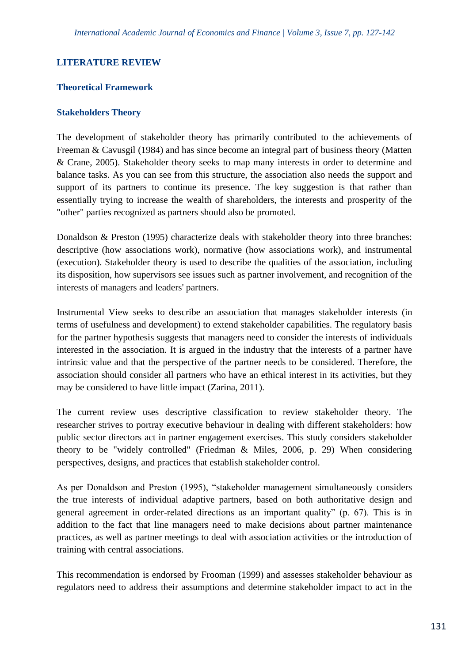## **LITERATURE REVIEW**

#### **Theoretical Framework**

#### **Stakeholders Theory**

The development of stakeholder theory has primarily contributed to the achievements of Freeman & Cavusgil (1984) and has since become an integral part of business theory (Matten & Crane, 2005). Stakeholder theory seeks to map many interests in order to determine and balance tasks. As you can see from this structure, the association also needs the support and support of its partners to continue its presence. The key suggestion is that rather than essentially trying to increase the wealth of shareholders, the interests and prosperity of the "other" parties recognized as partners should also be promoted.

Donaldson & Preston (1995) characterize deals with stakeholder theory into three branches: descriptive (how associations work), normative (how associations work), and instrumental (execution). Stakeholder theory is used to describe the qualities of the association, including its disposition, how supervisors see issues such as partner involvement, and recognition of the interests of managers and leaders' partners.

Instrumental View seeks to describe an association that manages stakeholder interests (in terms of usefulness and development) to extend stakeholder capabilities. The regulatory basis for the partner hypothesis suggests that managers need to consider the interests of individuals interested in the association. It is argued in the industry that the interests of a partner have intrinsic value and that the perspective of the partner needs to be considered. Therefore, the association should consider all partners who have an ethical interest in its activities, but they may be considered to have little impact (Zarina, 2011).

The current review uses descriptive classification to review stakeholder theory. The researcher strives to portray executive behaviour in dealing with different stakeholders: how public sector directors act in partner engagement exercises. This study considers stakeholder theory to be "widely controlled" (Friedman & Miles, 2006, p. 29) When considering perspectives, designs, and practices that establish stakeholder control.

As per Donaldson and Preston (1995), "stakeholder management simultaneously considers the true interests of individual adaptive partners, based on both authoritative design and general agreement in order-related directions as an important quality" (p. 67). This is in addition to the fact that line managers need to make decisions about partner maintenance practices, as well as partner meetings to deal with association activities or the introduction of training with central associations.

This recommendation is endorsed by Frooman (1999) and assesses stakeholder behaviour as regulators need to address their assumptions and determine stakeholder impact to act in the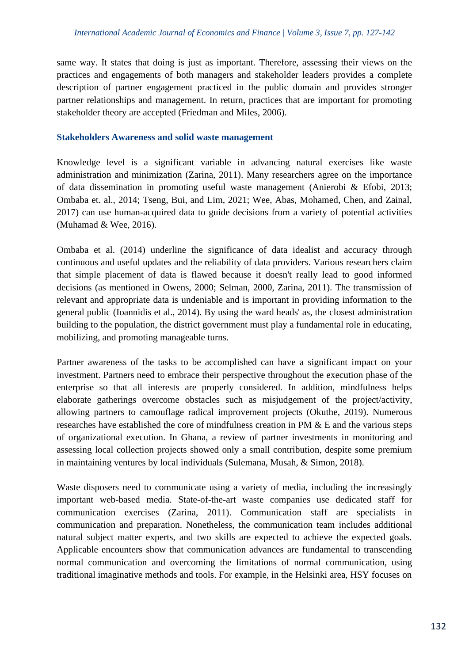same way. It states that doing is just as important. Therefore, assessing their views on the practices and engagements of both managers and stakeholder leaders provides a complete description of partner engagement practiced in the public domain and provides stronger partner relationships and management. In return, practices that are important for promoting stakeholder theory are accepted (Friedman and Miles, 2006).

## **Stakeholders Awareness and solid waste management**

Knowledge level is a significant variable in advancing natural exercises like waste administration and minimization (Zarina, 2011). Many researchers agree on the importance of data dissemination in promoting useful waste management (Anierobi & Efobi, 2013; Ombaba et. al., 2014; Tseng, Bui, and Lim, 2021; Wee, Abas, Mohamed, Chen, and Zainal, 2017) can use human-acquired data to guide decisions from a variety of potential activities (Muhamad & Wee, 2016).

Ombaba et al. (2014) underline the significance of data idealist and accuracy through continuous and useful updates and the reliability of data providers. Various researchers claim that simple placement of data is flawed because it doesn't really lead to good informed decisions (as mentioned in Owens, 2000; Selman, 2000, Zarina, 2011). The transmission of relevant and appropriate data is undeniable and is important in providing information to the general public (Ioannidis et al., 2014). By using the ward heads' as, the closest administration building to the population, the district government must play a fundamental role in educating, mobilizing, and promoting manageable turns.

Partner awareness of the tasks to be accomplished can have a significant impact on your investment. Partners need to embrace their perspective throughout the execution phase of the enterprise so that all interests are properly considered. In addition, mindfulness helps elaborate gatherings overcome obstacles such as misjudgement of the project/activity, allowing partners to camouflage radical improvement projects (Okuthe, 2019). Numerous researches have established the core of mindfulness creation in PM & E and the various steps of organizational execution. In Ghana, a review of partner investments in monitoring and assessing local collection projects showed only a small contribution, despite some premium in maintaining ventures by local individuals (Sulemana, Musah, & Simon, 2018).

Waste disposers need to communicate using a variety of media, including the increasingly important web-based media. State-of-the-art waste companies use dedicated staff for communication exercises (Zarina, 2011). Communication staff are specialists in communication and preparation. Nonetheless, the communication team includes additional natural subject matter experts, and two skills are expected to achieve the expected goals. Applicable encounters show that communication advances are fundamental to transcending normal communication and overcoming the limitations of normal communication, using traditional imaginative methods and tools. For example, in the Helsinki area, HSY focuses on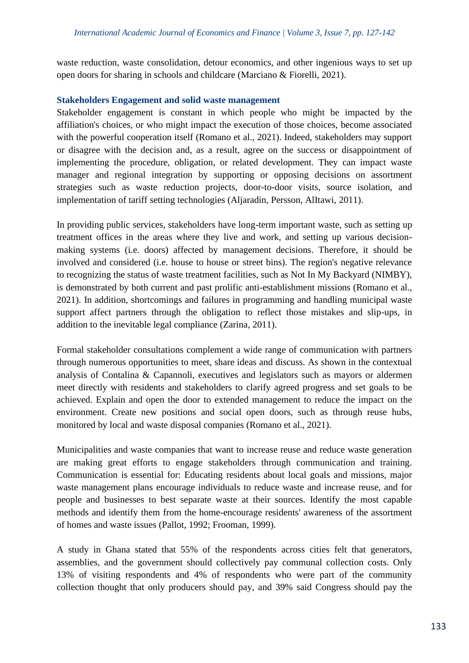waste reduction, waste consolidation, detour economics, and other ingenious ways to set up open doors for sharing in schools and childcare (Marciano & Fiorelli, 2021).

## **Stakeholders Engagement and solid waste management**

Stakeholder engagement is constant in which people who might be impacted by the affiliation's choices, or who might impact the execution of those choices, become associated with the powerful cooperation itself (Romano et al., 2021). Indeed, stakeholders may support or disagree with the decision and, as a result, agree on the success or disappointment of implementing the procedure, obligation, or related development. They can impact waste manager and regional integration by supporting or opposing decisions on assortment strategies such as waste reduction projects, door-to-door visits, source isolation, and implementation of tariff setting technologies (Aljaradin, Persson, AlItawi, 2011).

In providing public services, stakeholders have long-term important waste, such as setting up treatment offices in the areas where they live and work, and setting up various decisionmaking systems (i.e. doors) affected by management decisions. Therefore, it should be involved and considered (i.e. house to house or street bins). The region's negative relevance to recognizing the status of waste treatment facilities, such as Not In My Backyard (NIMBY), is demonstrated by both current and past prolific anti-establishment missions (Romano et al., 2021). In addition, shortcomings and failures in programming and handling municipal waste support affect partners through the obligation to reflect those mistakes and slip-ups, in addition to the inevitable legal compliance (Zarina, 2011).

Formal stakeholder consultations complement a wide range of communication with partners through numerous opportunities to meet, share ideas and discuss. As shown in the contextual analysis of Contalina & Capannoli, executives and legislators such as mayors or aldermen meet directly with residents and stakeholders to clarify agreed progress and set goals to be achieved. Explain and open the door to extended management to reduce the impact on the environment. Create new positions and social open doors, such as through reuse hubs, monitored by local and waste disposal companies (Romano et al., 2021).

Municipalities and waste companies that want to increase reuse and reduce waste generation are making great efforts to engage stakeholders through communication and training. Communication is essential for: Educating residents about local goals and missions, major waste management plans encourage individuals to reduce waste and increase reuse, and for people and businesses to best separate waste at their sources. Identify the most capable methods and identify them from the home-encourage residents' awareness of the assortment of homes and waste issues (Pallot, 1992; Frooman, 1999).

A study in Ghana stated that 55% of the respondents across cities felt that generators, assemblies, and the government should collectively pay communal collection costs. Only 13% of visiting respondents and 4% of respondents who were part of the community collection thought that only producers should pay, and 39% said Congress should pay the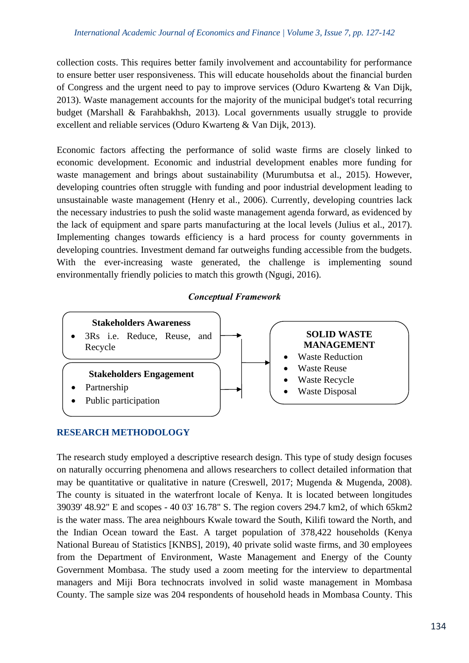collection costs. This requires better family involvement and accountability for performance to ensure better user responsiveness. This will educate households about the financial burden of Congress and the urgent need to pay to improve services (Oduro Kwarteng & Van Dijk, 2013). Waste management accounts for the majority of the municipal budget's total recurring budget (Marshall & Farahbakhsh, 2013). Local governments usually struggle to provide excellent and reliable services (Oduro Kwarteng & Van Dijk, 2013).

Economic factors affecting the performance of solid waste firms are closely linked to economic development. Economic and industrial development enables more funding for waste management and brings about sustainability (Murumbutsa et al., 2015). However, developing countries often struggle with funding and poor industrial development leading to unsustainable waste management (Henry et al., 2006). Currently, developing countries lack the necessary industries to push the solid waste management agenda forward, as evidenced by the lack of equipment and spare parts manufacturing at the local levels (Julius et al., 2017). Implementing changes towards efficiency is a hard process for county governments in developing countries. Investment demand far outweighs funding accessible from the budgets. With the ever-increasing waste generated, the challenge is implementing sound environmentally friendly policies to match this growth (Ngugi, 2016).

## *Conceptual Framework*



## **RESEARCH METHODOLOGY**

The research study employed a descriptive research design. This type of study design focuses on naturally occurring phenomena and allows researchers to collect detailed information that may be quantitative or qualitative in nature (Creswell, 2017; Mugenda & Mugenda, 2008). The county is situated in the waterfront locale of Kenya. It is located between longitudes 39039' 48.92" E and scopes - 40 03' 16.78" S. The region covers 294.7 km2, of which 65km2 is the water mass. The area neighbours Kwale toward the South, Kilifi toward the North, and the Indian Ocean toward the East. A target population of 378,422 households (Kenya National Bureau of Statistics [KNBS], 2019), 40 private solid waste firms, and 30 employees from the Department of Environment, Waste Management and Energy of the County Government Mombasa. The study used a zoom meeting for the interview to departmental managers and Miji Bora technocrats involved in solid waste management in Mombasa County. The sample size was 204 respondents of household heads in Mombasa County. This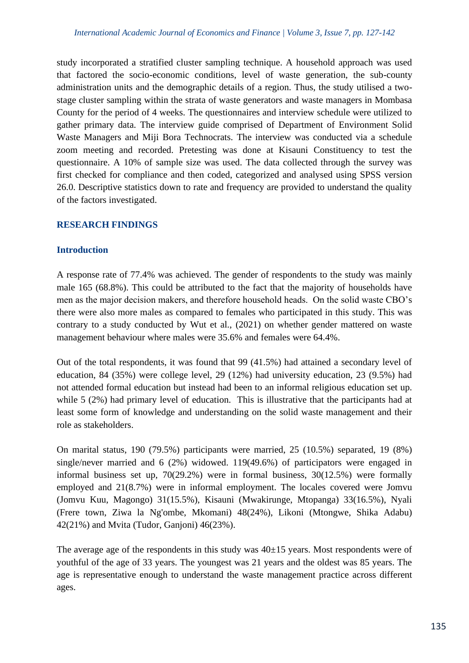study incorporated a stratified cluster sampling technique. A household approach was used that factored the socio-economic conditions, level of waste generation, the sub-county administration units and the demographic details of a region. Thus, the study utilised a twostage cluster sampling within the strata of waste generators and waste managers in Mombasa County for the period of 4 weeks. The questionnaires and interview schedule were utilized to gather primary data. The interview guide comprised of Department of Environment Solid Waste Managers and Miji Bora Technocrats. The interview was conducted via a schedule zoom meeting and recorded. Pretesting was done at Kisauni Constituency to test the questionnaire. A 10% of sample size was used. The data collected through the survey was first checked for compliance and then coded, categorized and analysed using SPSS version 26.0. Descriptive statistics down to rate and frequency are provided to understand the quality of the factors investigated.

# **RESEARCH FINDINGS**

## **Introduction**

A response rate of 77.4% was achieved. The gender of respondents to the study was mainly male 165 (68.8%). This could be attributed to the fact that the majority of households have men as the major decision makers, and therefore household heads. On the solid waste CBO's there were also more males as compared to females who participated in this study. This was contrary to a study conducted by Wut et al., (2021) on whether gender mattered on waste management behaviour where males were 35.6% and females were 64.4%.

Out of the total respondents, it was found that 99 (41.5%) had attained a secondary level of education, 84 (35%) were college level, 29 (12%) had university education, 23 (9.5%) had not attended formal education but instead had been to an informal religious education set up. while 5 (2%) had primary level of education. This is illustrative that the participants had at least some form of knowledge and understanding on the solid waste management and their role as stakeholders.

On marital status, 190 (79.5%) participants were married, 25 (10.5%) separated, 19 (8%) single/never married and 6 (2%) widowed. 119(49.6%) of participators were engaged in informal business set up, 70(29.2%) were in formal business, 30(12.5%) were formally employed and 21(8.7%) were in informal employment. The locales covered were Jomvu (Jomvu Kuu, Magongo) 31(15.5%), Kisauni (Mwakirunge, Mtopanga) 33(16.5%), Nyali (Frere town, Ziwa la Ng'ombe, Mkomani) 48(24%), Likoni (Mtongwe, Shika Adabu) 42(21%) and Mvita (Tudor, Ganjoni) 46(23%).

The average age of the respondents in this study was  $40\pm15$  years. Most respondents were of youthful of the age of 33 years. The youngest was 21 years and the oldest was 85 years. The age is representative enough to understand the waste management practice across different ages.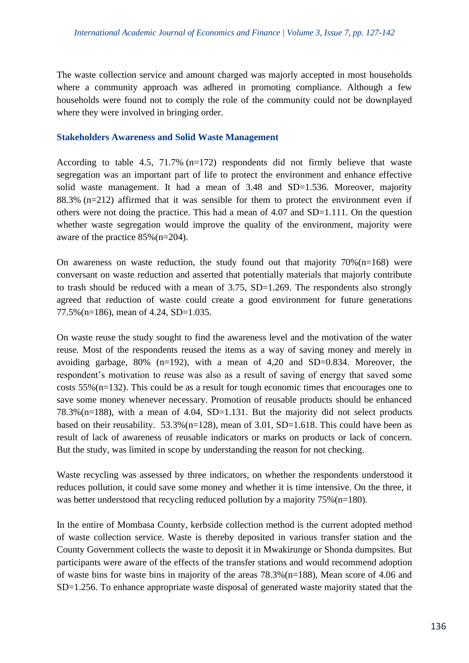The waste collection service and amount charged was majorly accepted in most households where a community approach was adhered in promoting compliance. Although a few households were found not to comply the role of the community could not be downplayed where they were involved in bringing order.

#### **Stakeholders Awareness and Solid Waste Management**

According to table 4.5, 71.7% (n=172) respondents did not firmly believe that waste segregation was an important part of life to protect the environment and enhance effective solid waste management. It had a mean of 3.48 and SD=1.536. Moreover, majority 88.3% ( $n=212$ ) affirmed that it was sensible for them to protect the environment even if others were not doing the practice. This had a mean of 4.07 and SD=1.111. On the question whether waste segregation would improve the quality of the environment, majority were aware of the practice 85%(n=204).

On awareness on waste reduction, the study found out that majority  $70\%$  (n=168) were conversant on waste reduction and asserted that potentially materials that majorly contribute to trash should be reduced with a mean of 3.75, SD=1.269. The respondents also strongly agreed that reduction of waste could create a good environment for future generations 77.5% (n=186), mean of 4.24, SD=1.035.

On waste reuse the study sought to find the awareness level and the motivation of the water reuse. Most of the respondents reused the items as a way of saving money and merely in avoiding garbage,  $80\%$  (n=192), with a mean of 4,20 and SD=0.834. Moreover, the respondent's motivation to reuse was also as a result of saving of energy that saved some costs 55%(n=132). This could be as a result for tough economic times that encourages one to save some money whenever necessary. Promotion of reusable products should be enhanced  $78.3\%$ (n=188), with a mean of 4.04, SD=1.131. But the majority did not select products based on their reusability.  $53.3\%$  (n=128), mean of 3.01, SD=1.618. This could have been as result of lack of awareness of reusable indicators or marks on products or lack of concern. But the study, was limited in scope by understanding the reason for not checking.

Waste recycling was assessed by three indicators, on whether the respondents understood it reduces pollution, it could save some money and whether it is time intensive. On the three, it was better understood that recycling reduced pollution by a majority 75% (n=180).

In the entire of Mombasa County, kerbside collection method is the current adopted method of waste collection service. Waste is thereby deposited in various transfer station and the County Government collects the waste to deposit it in Mwakirunge or Shonda dumpsites. But participants were aware of the effects of the transfer stations and would recommend adoption of waste bins for waste bins in majority of the areas 78.3%(n=188), Mean score of 4.06 and SD=1.256. To enhance appropriate waste disposal of generated waste majority stated that the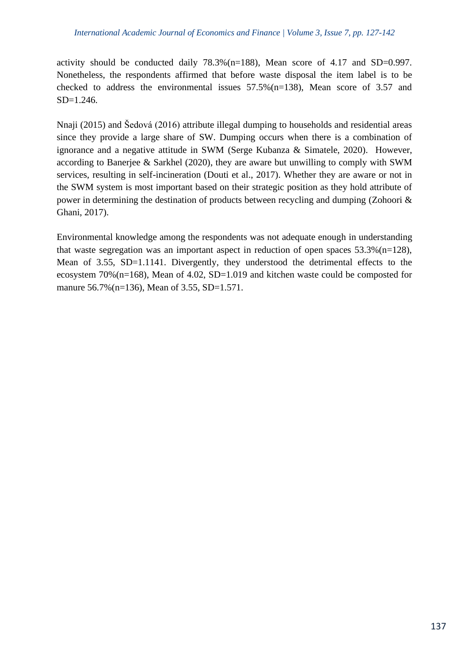activity should be conducted daily 78.3%(n=188), Mean score of 4.17 and SD=0.997. Nonetheless, the respondents affirmed that before waste disposal the item label is to be checked to address the environmental issues 57.5%(n=138), Mean score of 3.57 and SD=1.246.

Nnaji (2015) and Šedová (2016) attribute illegal dumping to households and residential areas since they provide a large share of SW. Dumping occurs when there is a combination of ignorance and a negative attitude in SWM (Serge Kubanza & Simatele, 2020). However, according to Banerjee & Sarkhel (2020), they are aware but unwilling to comply with SWM services, resulting in self-incineration (Douti et al., 2017). Whether they are aware or not in the SWM system is most important based on their strategic position as they hold attribute of power in determining the destination of products between recycling and dumping (Zohoori & Ghani, 2017).

Environmental knowledge among the respondents was not adequate enough in understanding that waste segregation was an important aspect in reduction of open spaces  $53.3\%$  (n=128), Mean of 3.55, SD=1.1141. Divergently, they understood the detrimental effects to the ecosystem 70%(n=168), Mean of 4.02, SD=1.019 and kitchen waste could be composted for manure 56.7% (n=136), Mean of 3.55, SD=1.571.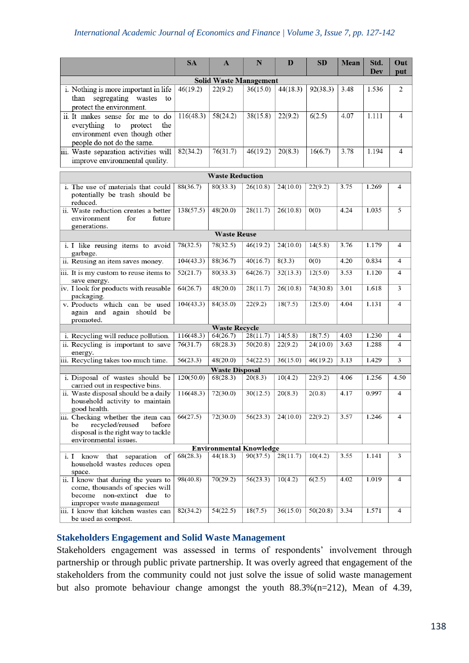|                                                                                                                                       | <b>SA</b>              | $\mathbf{A}$         | N        | D        | SD       | Mean | Std.<br>Dev | Out<br>put |  |
|---------------------------------------------------------------------------------------------------------------------------------------|------------------------|----------------------|----------|----------|----------|------|-------------|------------|--|
| <b>Solid Waste Management</b>                                                                                                         |                        |                      |          |          |          |      |             |            |  |
| i. Nothing is more important in life                                                                                                  | 46(19.2)               | 22(9.2)              | 36(15.0) | 44(18.3) | 92(38.3) | 3.48 | 1.536       | 2          |  |
| segregating wastes<br>than<br>to<br>protect the environment.                                                                          |                        |                      |          |          |          |      |             |            |  |
| ii. It makes sense for me to do<br>everything<br>to<br>protect<br>the<br>environment even though other<br>people do not do the same.  | 116(48.3)              | 58(24.2)             | 38(15.8) | 22(9.2)  | 6(2.5)   | 4.07 | 1.111       | 4          |  |
| iii. Waste separation activities will<br>improve environmental quality.                                                               | 82(34.2)               | 76(31.7)             | 46(19.2) | 20(8.3)  | 16(6.7)  | 3.78 | 1.194       | 4          |  |
|                                                                                                                                       | <b>Waste Reduction</b> |                      |          |          |          |      |             |            |  |
|                                                                                                                                       |                        |                      |          |          |          |      |             |            |  |
| i. The use of materials that could<br>potentially be trash should be<br>reduced.                                                      | 88(36.7)               | 80(33.3)             | 26(10.8) | 24(10.0) | 22(9.2)  | 3.75 | 1.269       | 4          |  |
| ii. Waste reduction creates a better<br>environment<br>for<br>future<br>generations.                                                  | 138(57.5)              | 48(20.0)             | 28(11.7) | 26(10.8) | 0(0)     | 4.24 | 1.035       | 5          |  |
|                                                                                                                                       |                        | <b>Waste Reuse</b>   |          |          |          |      |             |            |  |
| i. I like reusing items to avoid<br>garbage.                                                                                          | 78(32.5)               | 78(32.5)             | 46(19.2) | 24(10.0) | 14(5.8)  | 3.76 | 1.179       | 4          |  |
| ii. Reusing an item saves money.                                                                                                      | 104(43.3)              | 88(36.7)             | 40(16.7) | 8(3.3)   | 0(0)     | 4.20 | 0.834       | 4          |  |
| iii. It is my custom to reuse items to<br>save energy.                                                                                | 52(21.7)               | 80(33.3)             | 64(26.7) | 32(13.3) | 12(5.0)  | 3.53 | 1.120       | 4          |  |
| iv. I look for products with reusable<br>packaging.                                                                                   | 64(26.7)               | 48(20.0)             | 28(11.7) | 26(10.8) | 74(30.8) | 3.01 | 1.618       | 3          |  |
| v. Products which can be used<br>again and again should be<br>promoted.                                                               | 104(43.3)              | 84(35.0)             | 22(9.2)  | 18(7.5)  | 12(5.0)  | 4.04 | 1.131       | 4          |  |
|                                                                                                                                       |                        | <b>Waste Recycle</b> |          |          |          |      |             |            |  |
| i. Recycling will reduce pollution.                                                                                                   | 116(48.3)              | 64(26.7)             | 28(11.7) | 14(5.8)  | 18(7.5)  | 4.03 | 1.230       | 4          |  |
| ii. Recycling is important to save<br>energy.                                                                                         | 76(31.7)               | 68(28.3)             | 50(20.8) | 22(9.2)  | 24(10.0) | 3.63 | 1.288       | 4          |  |
| iii. Recycling takes too much time.                                                                                                   | 56(23.3)               | 48(20.0)             | 54(22.5) | 36(15.0) | 46(19.2) | 3.13 | 1.429       | 3          |  |
| <b>Waste Disposal</b>                                                                                                                 |                        |                      |          |          |          |      |             |            |  |
| i. Disposal of wastes should be<br>carried out in respective bins.                                                                    | 120(50.0)              | 68(28.3)             | 20(8.3)  | 10(4.2)  | 22(9.2)  | 4.06 | 1.256       | 4.50       |  |
| ii. Waste disposal should be a daily<br>household activity to maintain<br>good health.                                                | 116(48.3)              | 72(30.0)             | 30(12.5) | 20(8.3)  | 2(0.8)   | 4.17 | 0.997       | 4          |  |
| iii. Checking whether the item can<br>recycled/reused<br>before<br>be<br>disposal is the right way to tackle<br>environmental issues. | 66(27.5)               | 72(30.0)             | 56(23.3) | 24(10.0) | 22(9.2)  | 3.57 | 1.246       | 4          |  |
| <b>Environmental Knowledge</b>                                                                                                        |                        |                      |          |          |          |      |             |            |  |
| i. I know that separation of<br>household wastes reduces open<br>space.                                                               | 68(28.3)               | 44(18.3)             | 90(37.5) | 28(11.7) | 10(4.2)  | 3.55 | 1.141       | 3          |  |
| ii. I know that during the years to<br>come, thousands of species will<br>become non-extinct due to<br>improper waste management      | 98(40.8)               | 70(29.2)             | 56(23.3) | 10(4.2)  | 6(2.5)   | 4.02 | 1.019       | 4          |  |
| iii. I know that kitchen wastes can<br>be used as compost.                                                                            | 82(34.2)               | 54(22.5)             | 18(7.5)  | 36(15.0) | 50(20.8) | 3.34 | 1.571       | 4          |  |

#### **Stakeholders Engagement and Solid Waste Management**

Stakeholders engagement was assessed in terms of respondents' involvement through partnership or through public private partnership. It was overly agreed that engagement of the stakeholders from the community could not just solve the issue of solid waste management but also promote behaviour change amongst the youth 88.3%(n=212), Mean of 4.39,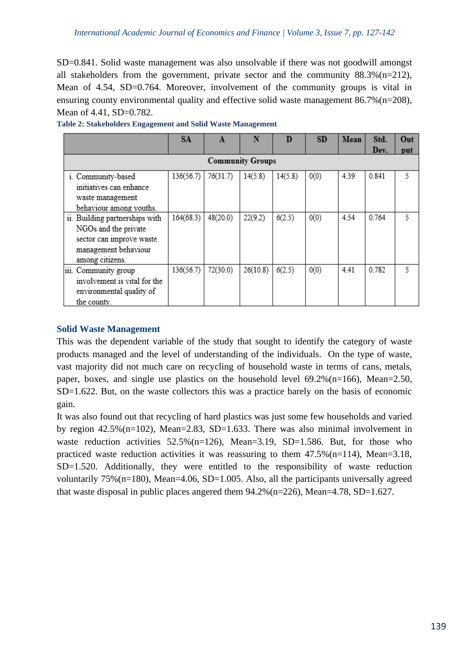SD=0.841. Solid waste management was also unsolvable if there was not goodwill amongst all stakeholders from the government, private sector and the community  $88.3\%$  (n=212), Mean of 4.54, SD=0.764. Moreover, involvement of the community groups is vital in ensuring county environmental quality and effective solid waste management  $86.7\%$  (n=208), Mean of 4.41, SD=0.782.

|                                                                                                                               | <b>SA</b> | A        | N        | D       | <b>SD</b> | Mean | Std.  | Out |
|-------------------------------------------------------------------------------------------------------------------------------|-----------|----------|----------|---------|-----------|------|-------|-----|
|                                                                                                                               |           |          |          |         |           |      | Dev.  | put |
| <b>Community Groups</b>                                                                                                       |           |          |          |         |           |      |       |     |
| i. Community-based<br>initiatives can enhance<br>waste management<br>behaviour among youths.                                  | 136(56.7) | 76(31.7) | 14(5.8)  | 14(5.8) | 0(0)      | 4.39 | 0.841 | 5   |
| ii. Building partnerships with<br>NGOs and the private<br>sector can improve waste<br>management behaviour<br>among citizens. | 164(68.3) | 48(20.0) | 22(9.2)  | 6(2.5)  | 0(0)      | 4.54 | 0.764 | 5   |
| iii. Community group<br>involvement is vital for the<br>environmental quality of<br>the county.                               | 136(56.7) | 72(30.0) | 26(10.8) | 6(2.5)  | 0(0)      | 4.41 | 0.782 |     |

**Table 2: Stakeholders Engagement and Solid Waste Management**

#### **Solid Waste Management**

This was the dependent variable of the study that sought to identify the category of waste products managed and the level of understanding of the individuals. On the type of waste, vast majority did not much care on recycling of household waste in terms of cans, metals, paper, boxes, and single use plastics on the household level 69.2%(n=166), Mean=2.50, SD=1.622. But, on the waste collectors this was a practice barely on the basis of economic gain.

It was also found out that recycling of hard plastics was just some few households and varied by region  $42.5\%$  (n=102), Mean=2.83, SD=1.633. There was also minimal involvement in waste reduction activities  $52.5\%$  (n=126), Mean=3.19, SD=1.586. But, for those who practiced waste reduction activities it was reassuring to them  $47.5\%$  (n=114), Mean=3.18, SD=1.520. Additionally, they were entitled to the responsibility of waste reduction voluntarily  $75\%$  (n=180), Mean=4.06, SD=1.005. Also, all the participants universally agreed that waste disposal in public places angered them 94.2%(n=226), Mean=4.78, SD=1.627.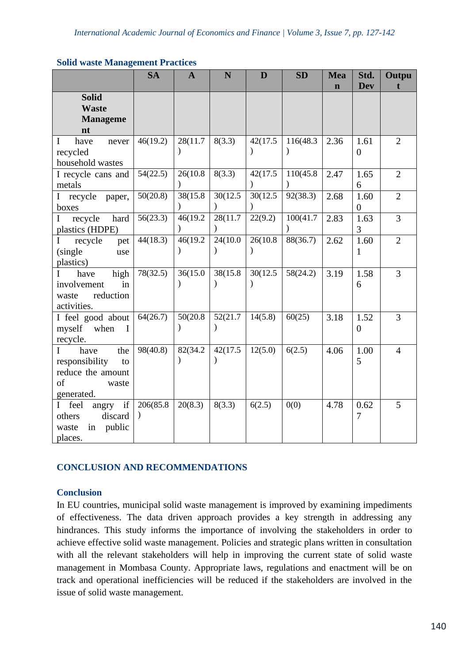#### **Solid waste Management Practices**

|                                                                                                   | <b>SA</b> | $\mathbf{A}$              | N                     | D                     | <b>SD</b>                 | <b>Mea</b>  | Std.                   | Outpu          |
|---------------------------------------------------------------------------------------------------|-----------|---------------------------|-----------------------|-----------------------|---------------------------|-------------|------------------------|----------------|
|                                                                                                   |           |                           |                       |                       |                           | $\mathbf n$ | <b>Dev</b>             | t              |
| <b>Solid</b><br><b>Waste</b><br><b>Manageme</b><br>nt                                             |           |                           |                       |                       |                           |             |                        |                |
| $\mathbf I$<br>have<br>never<br>recycled<br>household wastes                                      | 46(19.2)  | 28(11.7)                  | 8(3.3)                | 42(17.5)              | 116(48.3<br>$\mathcal{E}$ | 2.36        | 1.61<br>$\overline{0}$ | $\overline{2}$ |
| I recycle cans and<br>metals                                                                      | 54(22.5)  | 26(10.8)                  | 8(3.3)                | 42(17.5)              | 110(45.8)                 | 2.47        | 1.65<br>6              | $\overline{2}$ |
| $\mathbf I$<br>recycle<br>paper,<br>boxes                                                         | 50(20.8)  | 38(15.8)                  | 30(12.5)              | 30(12.5)              | 92(38.3)                  | 2.68        | 1.60<br>$\overline{0}$ | $\overline{2}$ |
| recycle<br>hard<br>$\mathbf I$<br>plastics (HDPE)                                                 | 56(23.3)  | 46(19.2)<br>$\lambda$     | 28(11.7)              | 22(9.2)               | 100(41.7<br>$\mathcal{E}$ | 2.83        | 1.63<br>3              | 3              |
| recycle<br>I<br>pet<br>(single)<br>use<br>plastics)                                               | 44(18.3)  | 46(19.2)<br>$\mathcal{E}$ | 24(10.0)<br>$\lambda$ | 26(10.8)<br>$\lambda$ | 88(36.7)                  | 2.62        | 1.60<br>1              | $\overline{2}$ |
| high<br>L<br>have<br>involvement<br>in<br>reduction<br>waste<br>activities.                       | 78(32.5)  | 36(15.0)<br>$\mathcal{E}$ | 38(15.8)              | 30(12.5)              | 58(24.2)                  | 3.19        | 1.58<br>6              | 3              |
| I feel good about<br>myself<br>when<br>I<br>recycle.                                              | 64(26.7)  | 50(20.8)<br>$\mathcal{E}$ | 52(21.7<br>$\lambda$  | 14(5.8)               | 60(25)                    | 3.18        | 1.52<br>$\theta$       | 3              |
| the<br>$\bf{I}$<br>have<br>responsibility<br>to<br>reduce the amount<br>of<br>waste<br>generated. | 98(40.8)  | 82(34.2)<br>$\lambda$     | 42(17.5)<br>$\lambda$ | 12(5.0)               | 6(2.5)                    | 4.06        | 1.00<br>5              | $\overline{4}$ |
| if<br>I feel<br>angry<br>discard<br>others<br>public<br>waste<br>in<br>places.                    | 206(85.8) | 20(8.3)                   | 8(3.3)                | 6(2.5)                | 0(0)                      | 4.78        | 0.62<br>$\overline{7}$ | 5              |

## **CONCLUSION AND RECOMMENDATIONS**

## **Conclusion**

In EU countries, municipal solid waste management is improved by examining impediments of effectiveness. The data driven approach provides a key strength in addressing any hindrances. This study informs the importance of involving the stakeholders in order to achieve effective solid waste management. Policies and strategic plans written in consultation with all the relevant stakeholders will help in improving the current state of solid waste management in Mombasa County. Appropriate laws, regulations and enactment will be on track and operational inefficiencies will be reduced if the stakeholders are involved in the issue of solid waste management.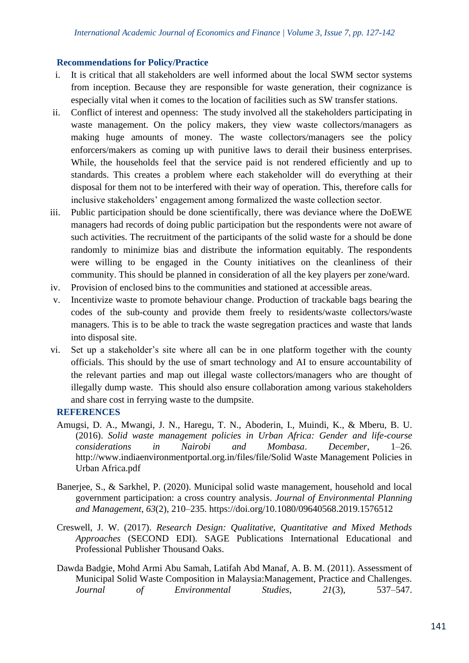## **Recommendations for Policy/Practice**

- i. It is critical that all stakeholders are well informed about the local SWM sector systems from inception. Because they are responsible for waste generation, their cognizance is especially vital when it comes to the location of facilities such as SW transfer stations.
- ii. Conflict of interest and openness: The study involved all the stakeholders participating in waste management. On the policy makers, they view waste collectors/managers as making huge amounts of money. The waste collectors/managers see the policy enforcers/makers as coming up with punitive laws to derail their business enterprises. While, the households feel that the service paid is not rendered efficiently and up to standards. This creates a problem where each stakeholder will do everything at their disposal for them not to be interfered with their way of operation. This, therefore calls for inclusive stakeholders' engagement among formalized the waste collection sector.
- iii. Public participation should be done scientifically, there was deviance where the DoEWE managers had records of doing public participation but the respondents were not aware of such activities. The recruitment of the participants of the solid waste for a should be done randomly to minimize bias and distribute the information equitably. The respondents were willing to be engaged in the County initiatives on the cleanliness of their community. This should be planned in consideration of all the key players per zone/ward.
- iv. Provision of enclosed bins to the communities and stationed at accessible areas.
- v. Incentivize waste to promote behaviour change. Production of trackable bags bearing the codes of the sub-county and provide them freely to residents/waste collectors/waste managers. This is to be able to track the waste segregation practices and waste that lands into disposal site.
- vi. Set up a stakeholder's site where all can be in one platform together with the county officials. This should by the use of smart technology and AI to ensure accountability of the relevant parties and map out illegal waste collectors/managers who are thought of illegally dump waste. This should also ensure collaboration among various stakeholders and share cost in ferrying waste to the dumpsite.

# **REFERENCES**

- Amugsi, D. A., Mwangi, J. N., Haregu, T. N., Aboderin, I., Muindi, K., & Mberu, B. U. (2016). *Solid waste management policies in Urban Africa: Gender and life-course considerations in Nairobi and Mombasa*. *December*, 1–26. http://www.indiaenvironmentportal.org.in/files/file/Solid Waste Management Policies in Urban Africa.pdf
- Banerjee, S., & Sarkhel, P. (2020). Municipal solid waste management, household and local government participation: a cross country analysis. *Journal of Environmental Planning and Management*, *63*(2), 210–235. https://doi.org/10.1080/09640568.2019.1576512
- Creswell, J. W. (2017). *Research Design: Qualitative, Quantitative and Mixed Methods Approaches* (SECOND EDI). SAGE Publications International Educational and Professional Publisher Thousand Oaks.
- Dawda Badgie, Mohd Armi Abu Samah, Latifah Abd Manaf, A. B. M. (2011). Assessment of Municipal Solid Waste Composition in Malaysia:Management, Practice and Challenges. *Journal of Environmental Studies*, *21*(3), 537–547.